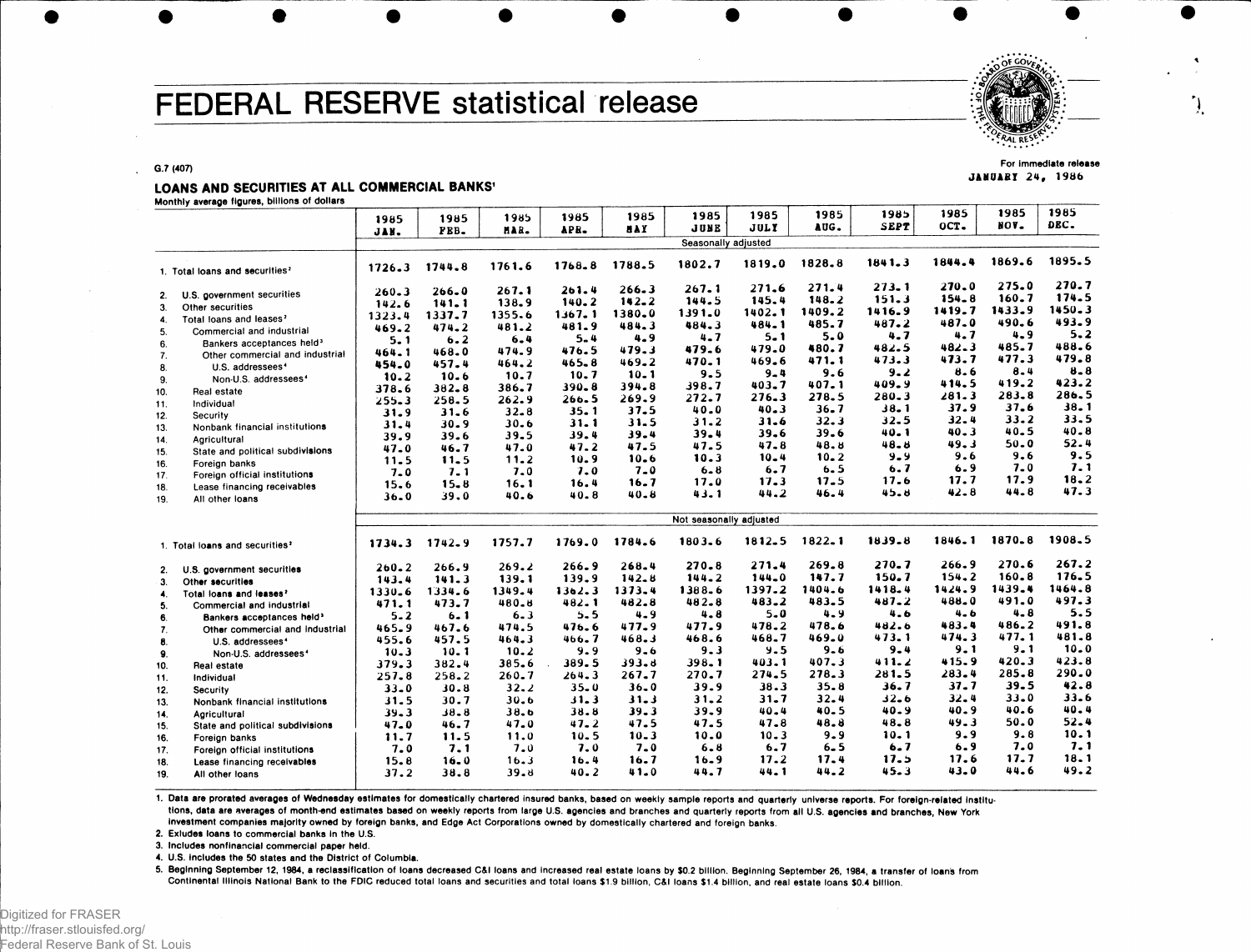# FEDERAL RESERVE statistical release



JANUARY 24, 1986

G.7 (407)

### LOANS AND SECURITIES AT ALL COMMERCIAL BANKS'

Monthly average figures, billions of dollars

| Monthly average figures, billions of dollars      |           |           |          |           |            |                         |           |           |             |           |           |            |
|---------------------------------------------------|-----------|-----------|----------|-----------|------------|-------------------------|-----------|-----------|-------------|-----------|-----------|------------|
|                                                   | 1985      | 1985      | 1985     | 1985      | 1985       | 1985                    | 1985      | 1985      | 1985        | 1985      | 1985      | 1985       |
|                                                   | JAN.      | FBB.      | HAR.     | APR.      | <b>NAY</b> | <b>JUNE</b>             | JULY      | AUG.      | <b>SEPT</b> | OCT.      | NOV.      | DEC.       |
|                                                   |           |           |          |           |            | Seasonally adjusted     |           |           |             |           |           |            |
| 1. Total loans and securities?                    | 1726.3    | 1744.8    | 1761.6   | 1768.8    | 1788.5     | 1802.7                  | 1819.0    | 1828.8    | 1841.3      | 1844.4    | 1869.6    | 1895.5     |
|                                                   | $260 - 3$ | $266 - 0$ | 267.1    | 261.4     | 266.3      | 267.1                   | 271.6     | 271.4     | 273.1       | $270 - 0$ | 275.0     | 270.7      |
| U.S. government securities<br>2.                  | 142.6     | 141.1     | 138.9    | 140.2     | $142 - 2$  | 144.5                   | 145.4     | 148.2     | 151.3       | $154 - 8$ | 160.7     | 174.5      |
| 3.<br>Other securities                            |           | 1337.7    | 1355.6   | 1367.1    | 1380.0     | 1391.0                  | 1402.1    | 1409.2    | 1416.9      | 1419.7    | 1433.9    | $1450 - 3$ |
| Total loans and leases <sup>2</sup><br>$\ddot{a}$ | 1323.4    | $474 - 2$ | 481.2    | 481.9     | 484.3      | 484.3                   | 484.1     | 485.7     | 487.2       | 487.0     | 490.6     | 493.9      |
| 5.<br>Commercial and industrial                   | 469.2     |           | 6.4      | $5 - 4$   | 4.9        | $4 - 7$                 | $5 - 1$   | 5.0       | 4.7         | 4.7       | 4.9       | 5.2        |
| Bankers acceptances held <sup>3</sup><br>6.       | 5.1       | 6.2       |          | 476.5     | 479.3      | 479.6                   | 479.0     | 480.7     | 482.5       | $482 - 3$ | 485.7     | 488.6      |
| Other commercial and industrial<br>7.             | 464.1     | 468.0     | 474.9    |           |            | 470.1                   | 469.6     | 471.1     | 473.3       | 473.7     | 477.3     | 479.8      |
| U.S. addressees <sup>4</sup><br>8.                | 454.0     | 457.4     | 464.2    | $465 - 8$ | 469.2      | 9.5                     | $9 - 4$   | 9.6       | 9.2         | 8.6       | $8 - 4$   | 8.8        |
| Non-U.S. addressees <sup>4</sup><br>9.            | 10.2      | 10.6      | 10.7     | 10.7      | $10 - 1$   | 398.7                   | 403.7     | $407 - 1$ | 409.9       | 414.5     | 419.2     | 423.2      |
| 10.<br><b>Real estate</b>                         | 378.6     | $382 - 8$ | 386.7    | 390.8     | 394.8      |                         | 276.3     | 278.5     | $280 - 3$   | 281.3     | 283.8     | 286.5      |
| Individual<br>11.                                 | $255 - 3$ | 258.5     | 262.9    | $266 - 5$ | 269.9      | 272.7                   |           |           | 38.1        | 37.9      | 37.6      | 38.1       |
| 12.<br>Security                                   | 31.9      | 31.6      | $32 - 8$ | 35.1      | 37.5       | 40.0                    | $40 - 3$  | 36.7      |             | 32.4      | 33.2      | 33.5       |
| Nonbank financial institutions<br>13.             | 31.4      | 30.9      | $30 - 6$ | $31 - 1$  | 31.5       | 31.2                    | 31.6      | 32.3      | 32.5        | $40 - 3$  | 40.5      | $40 - 8$   |
| 14.<br>Agricultural                               | 39.9      | 39.6      | 39.5     | 39.4      | 39.4       | 39.4                    | 39.6      | 39.6      | 40. 1       |           | $50 - 0$  | 52.4       |
| State and political subdivisions<br>15.           | 47.0      | 46.7      | 47.0     | 47.2      | 47.5       | 47.5                    | 47.8      | 48.8      | 48.B        | 49.3      |           | 9.5        |
| Foreign banks<br>16.                              | 11.5      | 11.5      | 11.2     | 10.9      | 10.6       | 10.3                    | 10.4      | $10 - 2$  | 9.9         | 9.6       | 9.6       |            |
| Foreign official institutions<br>17.              | $7 - 0$   | 7.1       | 7.0      | 7.0       | $7 - 0$    | $6 - 8$                 | 6.7       | 6.5       | 6.7         | 6.9       | $7 - 0$   | 7.1        |
| 18.<br>Lease financing receivables                | 15.6      | 15.8      | 16.1     | 16.4      | 16.7       | 17.0                    | 17.3      | 17.5      | 17.6        | 17.7      | 17.9      | 18.2       |
| All other loans<br>19.                            | $36 - 0$  | 39.0      | 40.6     | 40.8      | $40 - 8$   | 43.1                    | 44.2      | 46.4      | 45.8        | $42 - 8$  | 44.8      | 47.3       |
|                                                   |           |           |          |           |            | Not seasonally adjusted |           |           |             |           |           |            |
| 1. Total loans and securities?                    | 1734.3    | 1742.9    | 1757.7   | 1769.0    | 1784.6     | 1803.6                  | 1812.5    | 1822.1    | 1839.8      | 1846.1    | 1870.8    | 1908.5     |
|                                                   |           |           |          |           |            |                         |           |           |             |           |           |            |
| U.S. government securities<br>2.                  | $260 - 2$ | 266.9     | 269.2    | 266.9     | 268.4      | $270 - 8$               | 271.4     | 269.8     | 270.7       | 266.9     | 270.6     | 267.2      |
| 3.<br>Other securities                            | 143.4     | 141.3     | 139.1    | 139.9     | 142.8      | 144.2                   | $144 - 0$ | 147.7     | 150.7       | $154 - 2$ | $160 - 8$ | 176.5      |
| 4.<br>Total loans and leases?                     | 1330.6    | 1334.6    | 1349.4   | 1362.3    | 1373.4     | 1388.6                  | 1397.2    | 1404.6    | 1418.4      | 1424.9    | 1439.4    | 1464.8     |
| 5.<br>Commercial and industrial                   | 471.1     | 473.7     | 480.8    | 482.1     | 482.8      | 482.8                   | $483 - 2$ | 483.5     | $487 - 2$   | 488.0     | 491.0     | 497.3      |
| 6.<br>Bankers acceptances held <sup>3</sup>       | $5 - 2$   | $6 - 1$   | 6.3      | $5 - 5$   | 4.9        | 4.8                     | 5.0       | 4.9       | 4.6         | $4 - 6$   | $4 - 8$   | 5.5        |
| 7.<br>Other commercial and industrial             | 465.9     | 467.6     | 474.5    | 476.6     | 477.9      | 477.9                   | 478.2     | 478.6     | 482.6       | 483.4     | 486.2     | 491.8      |
| 8.<br>U.S. addressees <sup>4</sup>                | 455.6     | 457.5     | 464.3    | 466.7     | 468.3      | 468.6                   | 468.7     | 469.0     | 473.1       | 474.3     | 477.1     | 481.8      |
| Non-U.S. addressees <sup>4</sup><br>9.            | $10 - 3$  | 10.1      | 10.2     | 9.9       | $9 - 6$    | 9.3                     | $9 - 5$   | 9.6       | $9 - 4$     | $9 - 1$   | 9.1       | 10.0       |
| 10.<br><b>Real estate</b>                         | 379.3     | 382.4     | 385.6    | 389.5     | 393.8      | 398.1                   | 403.1     | 407.3     | 411.2       | 415.9     | 420.3     | 423.8      |
| Individual<br>11.                                 | 257.8     | 258.2     | 260.7    | 264.3     | $267 - 7$  | 270.7                   | 274.5     | 278.3     | 281.5       | 283.4     | 285.8     | 290.0      |
| 12.<br>Security                                   | $33 - 0$  | 30.8      | 32.2     | $35 - 0$  | $36 - 0$   | 39.9                    | 38.3      | 35.8      | 36.7        | $37 - 7$  | 39.5      | 42.8       |
| 13.<br>Nonbank financial institutions             | 31.5      | 30.7      | 30.6     | 31.3      | $31 - 3$   | 31.2                    | $31 - 7$  | 32.4      | ه ـ2د       | $32 - 4$  | $33 - 0$  | 33.6       |
| Agricultural                                      | $39 - 3$  | $38 - 8$  | 38.6     | 38.8      | $39 - 3$   | 39.9                    | 40.4      | 40.5      | 40.9        | 40.9      | 40.6      | 40.4       |
| 14.<br>State and political subdivisions           | 47.0      | 46.7      | 47.0     | 47.2      | 47.5       | 47.5                    | 47.8      | 48.8      | 48.8        | 49.3      | 50.0      | 52.4       |
| 15.                                               | 11.7      | 11.5      | 11.0     | 10.5      | $10 - 3$   | 10.0                    | $10 - 3$  | $9 - 9$   | 10.1        | 9.9       | 9.8       | 10.1       |
| 16.<br>Foreign banks                              | 7.0       | 7.1       | 7.0      | 7.0       | $7 - 0$    | 6.8                     | 6.7       | $6 - 5$   | 6.7         | 6.9       | 7.0       | 7.1        |
| 17.<br>Foreign official institutions              |           | 16.0      | 16.3     | 16.4      | 16.7       | $16 - 9$                | 17.2      | 17.4      | 17.5        | 17.6      | 17.7      | 18.1       |
| 18.<br>Lease financing receivables                | 15.8      |           |          |           | 41.0       | 44.7                    | 44.1      | 44.2      | 45.3        | 43.0      | 44.6      | 49.2       |
| 19.<br>All other loans                            | 37.2      | 38.8      | 39.8     | 40.2      |            |                         |           |           |             |           |           |            |

1. Data are prorated averages of Wednesday estimates for domestically chartered insured banks, based on weekly sample reports and quarterly universe reports. For foreign-related Institutions, data are averages of month-end estimates based on weekly reports from large U.S. agencies and branches and quarterly reports from all U.S. agencies and branches, New York Investment companies majority owned by foreign banks, and Edge Act Corporations owned by domestically chartered and foreign banks.

2. Exludes loans to commercial banks In the U.S.

3. Includes nonfinanclal commercial paper held.

4. U.S. includes the 50 states and the District of Columbia.

5. Beginning September 12, 1984, a reclassification of loans decreased C&l loans and increased real estate loans by \$0.2 billion. Beginning September 26, 1984, a transfer of loans from Continental Illinois National Bank to the FDIC reduced total loans and securities and total loans \$1.9 billion, C&l loans \$1.4 billion, and real estate loans \$0.4 billion.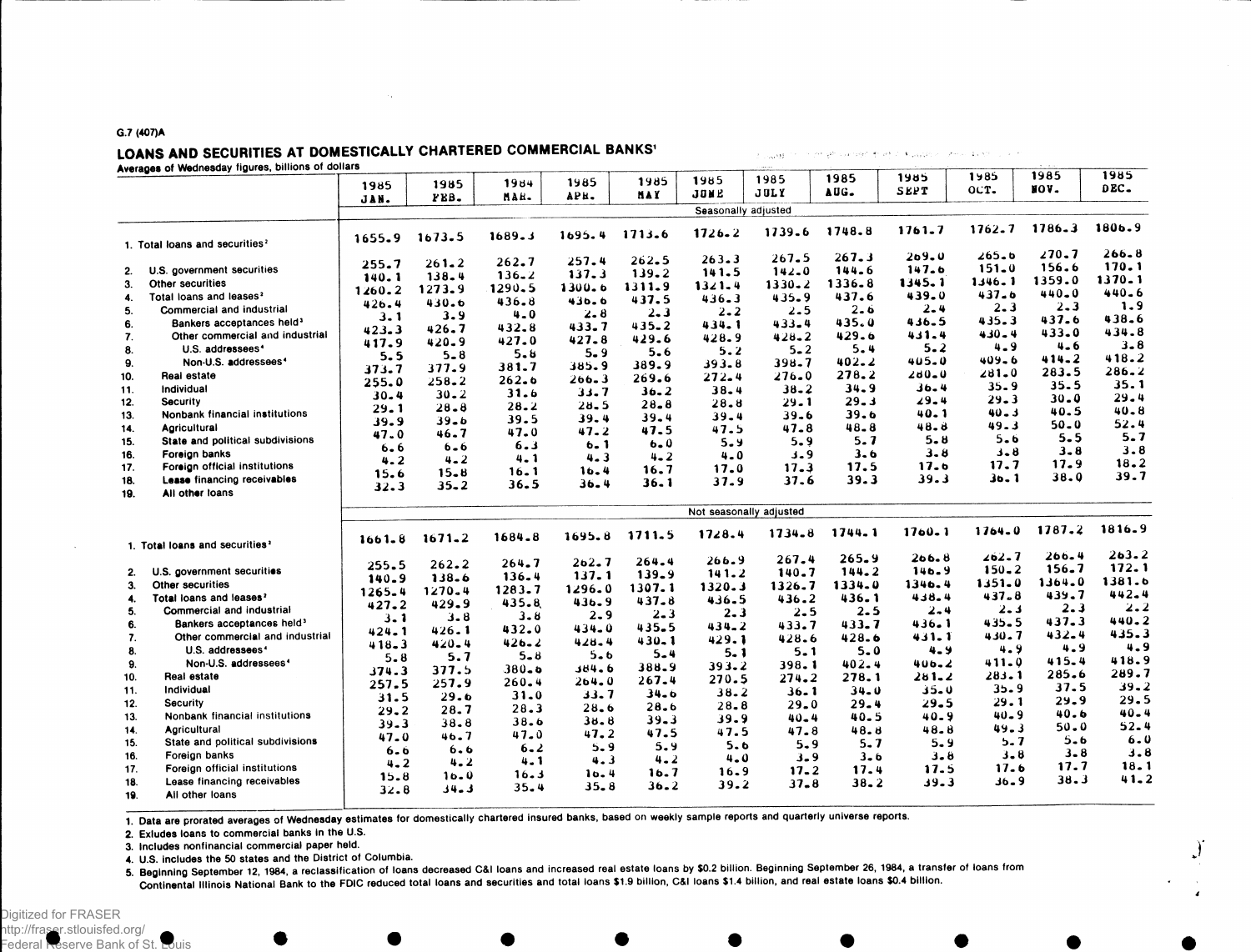#### G.7 (407)A

## LOANS AND SECURITIES AT DOMESTICALLY CHARTERED COMMERCIAL BANKS'

 $\sim$   $\sim$ 

Averages of Wednesday figures, billions of dollars

|     | Averages of wednesday rigures, omnoms or domais | 1985           | 1985       | 1984                 | 1985       | 1985      | 1985                    | 1985       | 1985       | 1985       | 1985       | 1985       | 1985<br>DEC. |
|-----|-------------------------------------------------|----------------|------------|----------------------|------------|-----------|-------------------------|------------|------------|------------|------------|------------|--------------|
|     |                                                 | JAN.           | FEB.       | MAH.                 | APH.       | NA Y      | JONE                    | JULY       | AUG.       | SEPT       | OCT.       | NOV.       |              |
|     |                                                 |                |            |                      |            |           | Seasonally adjusted     |            |            |            |            |            |              |
|     | 1. Total loans and securities <sup>2</sup>      | 1655.9         | 1673.5     | 1689.3               | 1695.4     | 1713.6    | $1726 - 2$              | 1739.6     | 1748.8     | $1761 - 7$ | 1762.7     | $1786 - 3$ | 1806.9       |
|     |                                                 | 255.7          | $261 - 2$  | 262.7                | 257.4      | $262 - 5$ | 263.3                   | 267.5      | 267.3      | 209.0      | $265 - b$  | 270.7      | 266.8        |
| 2.  | U.S. government securities                      | 140.1          | 138.4      | $136 - 2$            | 137.3      | 139.2     | 141.5                   | $142 - 0$  | 144.6      | 147.6      | $151 - 0$  | 156.6      | 170.1        |
| 3.  | Other securities                                | 1260.2         | 1273.9     | 1290.5               | $1300 - 6$ | 1311.9    | $1321 - 4$              | $1330 - 2$ | 1336.8     | 1345.1     | $1346 - 1$ | 1359.0     | 1370.1       |
| 4.  | Total loans and leases <sup>2</sup>             | 426.4          | 430.6      | 436.8                | 436.6      | 437.5     | 436.3                   | 435.9      | 437.6      | 439.0      | $437 - 6$  | 440.0      | $440 - 6$    |
| 5.  | Commercial and industrial                       | 3.1            | 3.9        | $4 - 0$              | $2 - 8$    | $2 - 3$   | $2 - 2$                 | $2 - 5$    | 2.6        | $2 - 4$    | $2 - 3$    | $2 - 3$    | 1.9          |
| 6.  | Bankers acceptances held <sup>3</sup>           | 423.3          | 426.7      | 432.8                | 433.7      | 435.2     | 434.1                   | 433.4      | 435.0      | 436.5      | $435 - 3$  | 437.6      | 438.6        |
| 7.  | Other commercial and industrial                 | 417.9          | 420.9      | 427.0                | 427.8      | 429.6     | 428.9                   | $428 - 2$  | 429.6      | 431.4      | $430 - 4$  | $433 - 0$  | 434.8        |
| 8.  | U.S. addressees <sup>4</sup>                    | 5.5            | $5 - 8$    | $5 - 6$              | 5.9        | 5.6       | 5.2                     | $5 - 2$    | 5.4        | 5.2        | $4 - 9$    | 4.6        | $3 - 8$      |
| 9.  | Non-U.S. addressees <sup>4</sup>                | 373.7          | 377.9      | 381.7                | 385.9      | 389.9     | 393.8                   | 398.7      | $402 - 2$  | $405 - 0$  | 409-6      | 414.2      | 418.2        |
| 10. | Real estate                                     | 255.0          | $258 - 2$  | $262 - 6$            | 266.3      | 269.6     | 272.4                   | 276.0      | 278.2      | $200 - 0$  | $281 - 0$  | 283.5      | $286 - 2$    |
| 11. | Individual                                      | $30 - 4$       | $30 - 2$   | 31.6                 | 33.7       | $36 - 2$  | $38 - 4$                | $38 - 2$   | 34.9       | 36.4       | $35 - 9$   | 35.5       | 35.1         |
| 12. | <b>Security</b>                                 | 29.1           | $28 - 8$   | 28.2                 | $28 - 5$   | 28.8      | 28.8                    | 29.1       | 29.3       | 29.4       | $29 - 3$   | $30 - 0$   | $29 - 4$     |
| 13. | Nonbank financial institutions                  | 39.9           | 39.6       | 39.5                 | 39.4       | 39.4      | 39.4                    | 39.6       | 39.6       | 40.1       | $40 - 3$   | 40.5       | $40 - 8$     |
| 14. | Agricultural                                    | 47.0           | 46.7       | 47.0                 | 47.2       | 47.5      | 47.5                    | $47 - 8$   | 48.8       | 48.8       | 49.3       | $50 - 0$   | 52.4         |
| 15. | State and political subdivisions                |                | $6 - 6$    | 6.3                  | 6.1        | 6.0       | 5.9                     | 5.9        | 5.7        | 5.8        | $5 - 6$    | 5.5        | $5 - 7$      |
| 16. | Foreign banks                                   | 6.6<br>$4 - 2$ | $4 - 2$    | $4 - 1$              | 4.3        | $4 - 2$   | 4.0                     | $3 - 9$    | 3.6        | 3.8        | $3 - 8$    | $3 - 8$    | 3.8          |
| 17. | Foreign official institutions                   | 15.6           | $15 - 8$   | 16.1                 | 16.4       | 16.7      | 17.0                    | 17.3       | 17.5       | 17.6       | 17.7       | 17.9       | 18.2         |
| 18. | Lease financing receivables                     | 32.3           | $35 - 2$   | 36.5                 | $36 - 4$   | 36.1      | $37 - 9$                | 37.6       | 39.3       | 39.3       | 36.1       | 38.0       | 39.7         |
| 19. | All other loans                                 |                |            |                      |            |           |                         |            |            |            |            |            |              |
|     |                                                 |                |            |                      |            |           | Not seasonally adjusted |            |            |            |            |            |              |
|     | 1. Total loans and securities <sup>2</sup>      | $1661 - 8$     | $1671 - 2$ | 1684.8               | 1695.8     | 1711.5    | 1728.4                  | $1734 - 8$ | $1744 - 1$ | $1760 - 1$ | $1764 - 0$ | 1787.2     | 1816.9       |
|     |                                                 |                |            | 264.7                | 262.7      | $264 - 4$ | 266.9                   | 267.4      | $265 - 9$  | 266.8      | $202 - 7$  | $266 - 4$  | 263.2        |
| 2.  | U.S. government securities                      | 255.5          | $262 - 2$  | $136 - 4$            | 137.1      | 139.9     | 141.2                   | 140.7      | 144.2      | 146.9      | $150 - 2$  | 156.7      | 172.1        |
| 3.  | Other securities                                | 140.9          | 138.6      | 1283.7               | 1296.0     | 1307.1    | 1320.3                  | $1326 - 7$ | 1334.0     | 1346.4     | 1351.0     | 1364.0     | 1381.6       |
| 4.  | Total loans and leases <sup>2</sup>             | $1265 - 4$     | 1270.4     | 435.8                | 436.9      | 437.8     | 436.5                   | 436.2      | 436.1      | 438.4      | 437.8      | 439.7      | 442.4        |
| 5.  | Commercial and industrial                       | 427.2          | 429.9      | $3 - 8$              | $2 - 9$    | $2 - 3$   | $2 - 3$                 | $2 - 5$    | $2 - 5$    | 2.4        | $2 - 3$    | 2.3        | 2.2          |
| 6.  | Bankers acceptances held <sup>3</sup>           | $3 - 1$        | $3 - 8$    | 432.0                | 434.0      | 435.5     | $434 - 2$               | 433.7      | 433.7      | $436 - 1$  | 435.5      | 437.3      | 440.2        |
| 7.  | Other commercial and industrial                 | $424 - 1$      | 426.1      |                      | 428.4      | $430 - 1$ | 429.1                   | 428.6      | 428.6      | $431 - 1$  | 430.7      | 432.4      | 435.3        |
| 8.  | U.S. addressees <sup>4</sup>                    | $418 - 3$      | 420-4      | $426 - 2$<br>$5 - 8$ | $5 - 6$    | $5 - 4$   | $5 - 1$                 | $5 - 1$    | $5 - 0$    | $4 - 9$    | 4.9        | 4.9        | 4.9          |
| 9.  | Non-U.S. addressees <sup>4</sup>                | $5 - 8$        | 5.7        |                      | 384.6      | 388.9     | 393.2                   | 398.1      | $402 - 4$  | $406 - 2$  | $411 - 0$  | $415 - 4$  | 418.9        |
| 10. | Real estate                                     | 374.3          | 377.5      | 380.0                | 264.0      | $267 - 4$ | 270.5                   | 274.2      | 278.1      | $281 - 2$  | 283.1      | 285.6      | 289.7        |
| 11. | Individual                                      | 257.5          | 257.9      | $260 - 4$            |            | $34 - 6$  | 38.2                    | $36 - 1$   | $34 - 0$   | $35 - 0$   | 35.9       | 37.5       | $39 - 2$     |
| 12. | Security                                        | 31.5           | 29.6       | 31.0                 | 33.7       | 28.6      | 28.8                    | 29.0       | $29 - 4$   | 29.5       | 29.1       | 29.9       | 29.5         |
| 13. | Nonbank financial institutions                  | 29.2           | 28.7       | 28.3                 | $28 - 6$   | $39 - 3$  | 39.9                    | $40 - 4$   | 40.5       | $40 - 9$   | $40 - 9$   | 40.6       | $40 - 4$     |
| 14. | Agricultural                                    | $39 - 3$       | $38 - 8$   | 38.6                 | 38.8       |           | 47.5                    | 47.8       | 48.8       | 48.8       | 49.3       | 50.0       | $52 - 4$     |
| 15. | State and political subdivisions                | 47.0           | 46.7       | 47.0                 | 47.2       | 47.5      | 5.6                     | 5.9        | $5 - 7$    | $5 - 9$    | 5.7        | $5 - 6$    | 6.0          |
| 16. | Foreign banks                                   | $6 - 6$        | 6.6        | $6 - 2$              | 5.9        | 5.9       | $4 - 0$                 | $3 - 9$    | $3 - 6$    | 3.8        | $3 - 8$    | $3 - 8$    | 3.8          |
| 17. | Foreign official institutions                   | 4.2            | 4.2        | 4.1                  | 4.3        | $4 - 2$   | 16.9                    | $17 - 2$   | 17.4       | 17.5       | 17.6       | 17.7       | 18.1         |
| 18. | Lease financing receivables                     | $15 - 8$       | $10 - 0$   | 16.3                 | 10.4       | 16.7      | 39.2                    | 37.8       | $38 - 2$   | $39 - 3$   | $36 - 9$   | 38.3       | 41.2         |
| 19. | All other loans                                 | $32 - 8$       | د .4د      | 35.4                 | $35 - 8$   | 36.2      |                         |            |            |            |            |            |              |

The could be a the photograph of of a magazine present of the contr

1. Data are prorated averages of Wednesday estimates for domestically chartered insured banks, based on weekly sample reports and quarterly universe reports.

2. Exludes loans to commercial banks in the U.S.

3. Includes nonfinancial commercial paper held.

4. U.S. includes the 50 states and the District of Columbia.

<sup>5</sup> Beginning September 12, 1984, a reclassification of loans decreased C&l loans and increased real estate loans by \$0.2 billion. Beginning September 26, 1984, a transfer of loans from Continental Illinois National Bank to the FDIC reduced total loans and securities and total loans \$1.9 billion, C&l loans \$1.4 billion, and real estate loans \$0.4 billion.